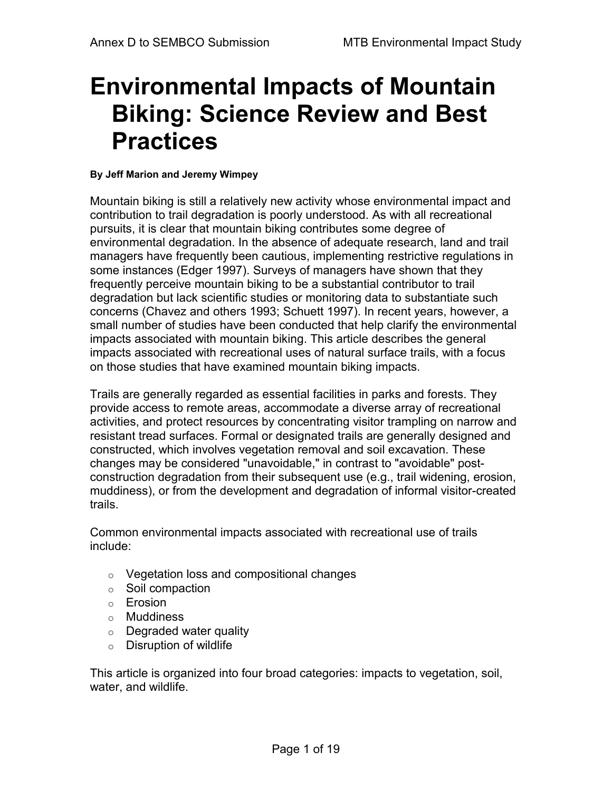# **Environmental Impacts of Mountain Biking: Science Review and Best Practices**

#### **By Jeff Marion and Jeremy Wimpey**

Mountain biking is still a relatively new activity whose environmental impact and contribution to trail degradation is poorly understood. As with all recreational pursuits, it is clear that mountain biking contributes some degree of environmental degradation. In the absence of adequate research, land and trail managers have frequently been cautious, implementing restrictive regulations in some instances (Edger 1997). Surveys of managers have shown that they frequently perceive mountain biking to be a substantial contributor to trail degradation but lack scientific studies or monitoring data to substantiate such concerns (Chavez and others 1993; Schuett 1997). In recent years, however, a small number of studies have been conducted that help clarify the environmental impacts associated with mountain biking. This article describes the general impacts associated with recreational uses of natural surface trails, with a focus on those studies that have examined mountain biking impacts.

Trails are generally regarded as essential facilities in parks and forests. They provide access to remote areas, accommodate a diverse array of recreational activities, and protect resources by concentrating visitor trampling on narrow and resistant tread surfaces. Formal or designated trails are generally designed and constructed, which involves vegetation removal and soil excavation. These changes may be considered "unavoidable," in contrast to "avoidable" postconstruction degradation from their subsequent use (e.g., trail widening, erosion, muddiness), or from the development and degradation of informal visitor-created trails.

Common environmental impacts associated with recreational use of trails include:

- o Vegetation loss and compositional changes
- o Soil compaction
- o Erosion
- o Muddiness
- $\circ$  Degraded water quality
- $\circ$  Disruption of wildlife

This article is organized into four broad categories: impacts to vegetation, soil, water, and wildlife.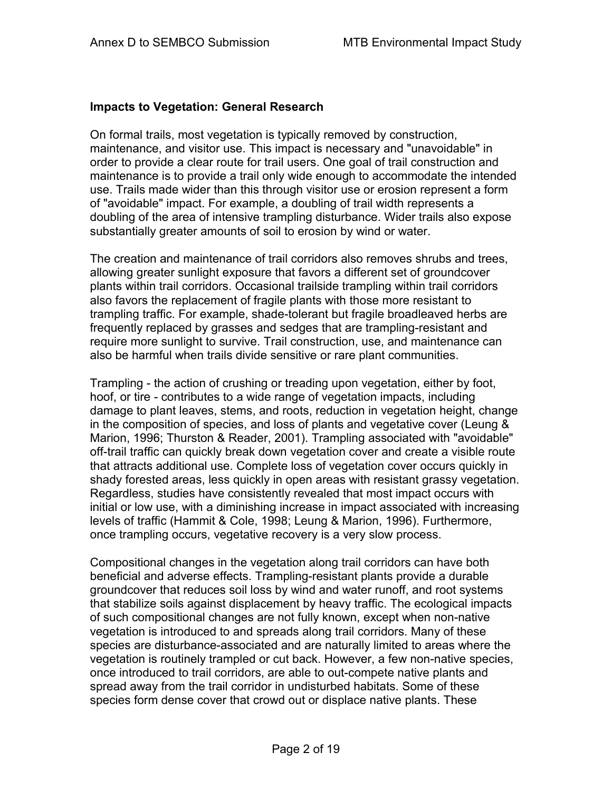## **Impacts to Vegetation: General Research**

On formal trails, most vegetation is typically removed by construction, maintenance, and visitor use. This impact is necessary and "unavoidable" in order to provide a clear route for trail users. One goal of trail construction and maintenance is to provide a trail only wide enough to accommodate the intended use. Trails made wider than this through visitor use or erosion represent a form of "avoidable" impact. For example, a doubling of trail width represents a doubling of the area of intensive trampling disturbance. Wider trails also expose substantially greater amounts of soil to erosion by wind or water.

The creation and maintenance of trail corridors also removes shrubs and trees, allowing greater sunlight exposure that favors a different set of groundcover plants within trail corridors. Occasional trailside trampling within trail corridors also favors the replacement of fragile plants with those more resistant to trampling traffic. For example, shade-tolerant but fragile broadleaved herbs are frequently replaced by grasses and sedges that are trampling-resistant and require more sunlight to survive. Trail construction, use, and maintenance can also be harmful when trails divide sensitive or rare plant communities.

Trampling - the action of crushing or treading upon vegetation, either by foot, hoof, or tire - contributes to a wide range of vegetation impacts, including damage to plant leaves, stems, and roots, reduction in vegetation height, change in the composition of species, and loss of plants and vegetative cover (Leung & Marion, 1996; Thurston & Reader, 2001). Trampling associated with "avoidable" off-trail traffic can quickly break down vegetation cover and create a visible route that attracts additional use. Complete loss of vegetation cover occurs quickly in shady forested areas, less quickly in open areas with resistant grassy vegetation. Regardless, studies have consistently revealed that most impact occurs with initial or low use, with a diminishing increase in impact associated with increasing levels of traffic (Hammit & Cole, 1998; Leung & Marion, 1996). Furthermore, once trampling occurs, vegetative recovery is a very slow process.

Compositional changes in the vegetation along trail corridors can have both beneficial and adverse effects. Trampling-resistant plants provide a durable groundcover that reduces soil loss by wind and water runoff, and root systems that stabilize soils against displacement by heavy traffic. The ecological impacts of such compositional changes are not fully known, except when non-native vegetation is introduced to and spreads along trail corridors. Many of these species are disturbance-associated and are naturally limited to areas where the vegetation is routinely trampled or cut back. However, a few non-native species, once introduced to trail corridors, are able to out-compete native plants and spread away from the trail corridor in undisturbed habitats. Some of these species form dense cover that crowd out or displace native plants. These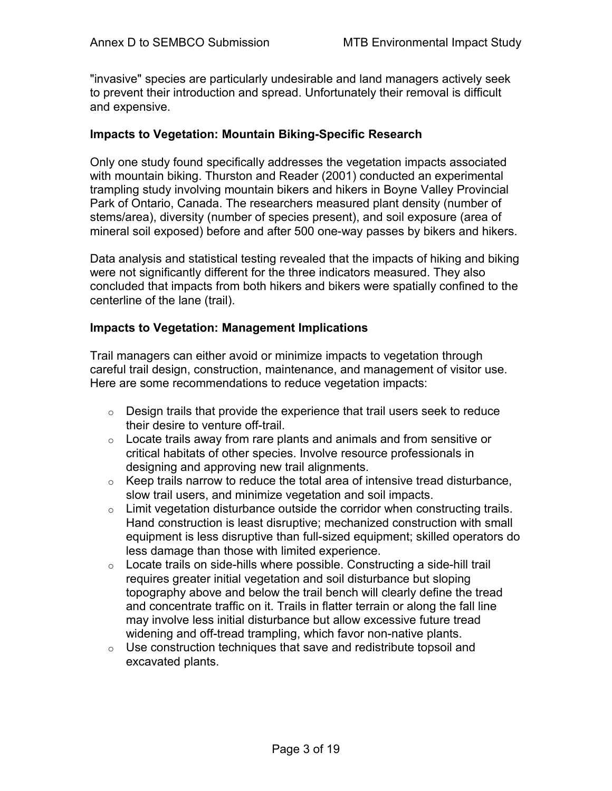"invasive" species are particularly undesirable and land managers actively seek to prevent their introduction and spread. Unfortunately their removal is difficult and expensive.

## **Impacts to Vegetation: Mountain Biking-Specific Research**

Only one study found specifically addresses the vegetation impacts associated with mountain biking. Thurston and Reader (2001) conducted an experimental trampling study involving mountain bikers and hikers in Boyne Valley Provincial Park of Ontario, Canada. The researchers measured plant density (number of stems/area), diversity (number of species present), and soil exposure (area of mineral soil exposed) before and after 500 one-way passes by bikers and hikers.

Data analysis and statistical testing revealed that the impacts of hiking and biking were not significantly different for the three indicators measured. They also concluded that impacts from both hikers and bikers were spatially confined to the centerline of the lane (trail).

#### **Impacts to Vegetation: Management Implications**

Trail managers can either avoid or minimize impacts to vegetation through careful trail design, construction, maintenance, and management of visitor use. Here are some recommendations to reduce vegetation impacts:

- $\circ$  Design trails that provide the experience that trail users seek to reduce their desire to venture off-trail.
- $\circ$  Locate trails away from rare plants and animals and from sensitive or critical habitats of other species. Involve resource professionals in designing and approving new trail alignments.
- $\circ$  Keep trails narrow to reduce the total area of intensive tread disturbance, slow trail users, and minimize vegetation and soil impacts.
- $\circ$  Limit vegetation disturbance outside the corridor when constructing trails. Hand construction is least disruptive; mechanized construction with small equipment is less disruptive than full-sized equipment; skilled operators do less damage than those with limited experience.
- $\circ$  Locate trails on side-hills where possible. Constructing a side-hill trail requires greater initial vegetation and soil disturbance but sloping topography above and below the trail bench will clearly define the tread and concentrate traffic on it. Trails in flatter terrain or along the fall line may involve less initial disturbance but allow excessive future tread widening and off-tread trampling, which favor non-native plants.
- $\circ$  Use construction techniques that save and redistribute topsoil and excavated plants.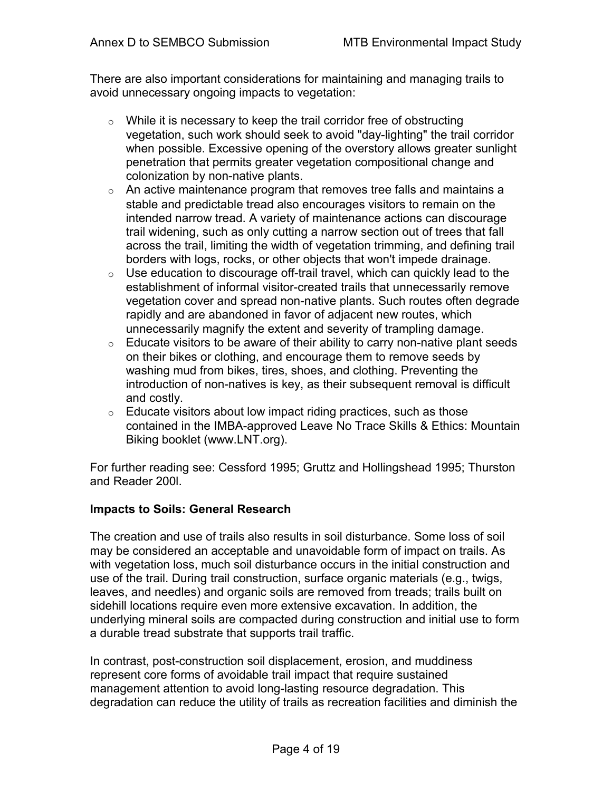There are also important considerations for maintaining and managing trails to avoid unnecessary ongoing impacts to vegetation:

- $\circ$  While it is necessary to keep the trail corridor free of obstructing vegetation, such work should seek to avoid "day-lighting" the trail corridor when possible. Excessive opening of the overstory allows greater sunlight penetration that permits greater vegetation compositional change and colonization by non-native plants.
- $\circ$  An active maintenance program that removes tree falls and maintains a stable and predictable tread also encourages visitors to remain on the intended narrow tread. A variety of maintenance actions can discourage trail widening, such as only cutting a narrow section out of trees that fall across the trail, limiting the width of vegetation trimming, and defining trail borders with logs, rocks, or other objects that won't impede drainage.
- $\circ$  Use education to discourage off-trail travel, which can quickly lead to the establishment of informal visitor-created trails that unnecessarily remove vegetation cover and spread non-native plants. Such routes often degrade rapidly and are abandoned in favor of adjacent new routes, which unnecessarily magnify the extent and severity of trampling damage.
- $\circ$  Educate visitors to be aware of their ability to carry non-native plant seeds on their bikes or clothing, and encourage them to remove seeds by washing mud from bikes, tires, shoes, and clothing. Preventing the introduction of non-natives is key, as their subsequent removal is difficult and costly.
- $\circ$  Educate visitors about low impact riding practices, such as those contained in the IMBA-approved Leave No Trace Skills & Ethics: Mountain Biking booklet (www.LNT.org).

For further reading see: Cessford 1995; Gruttz and Hollingshead 1995; Thurston and Reader 200l.

# **Impacts to Soils: General Research**

The creation and use of trails also results in soil disturbance. Some loss of soil may be considered an acceptable and unavoidable form of impact on trails. As with vegetation loss, much soil disturbance occurs in the initial construction and use of the trail. During trail construction, surface organic materials (e.g., twigs, leaves, and needles) and organic soils are removed from treads; trails built on sidehill locations require even more extensive excavation. In addition, the underlying mineral soils are compacted during construction and initial use to form a durable tread substrate that supports trail traffic.

In contrast, post-construction soil displacement, erosion, and muddiness represent core forms of avoidable trail impact that require sustained management attention to avoid long-lasting resource degradation. This degradation can reduce the utility of trails as recreation facilities and diminish the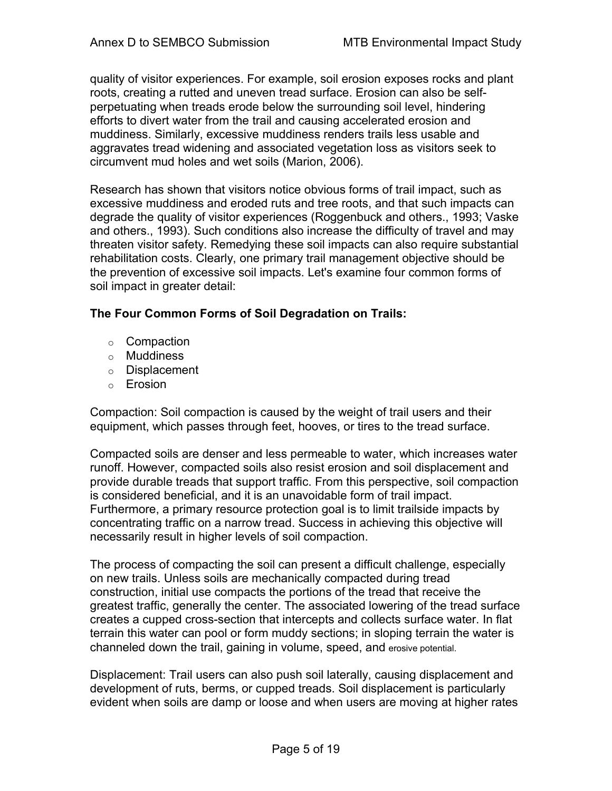quality of visitor experiences. For example, soil erosion exposes rocks and plant roots, creating a rutted and uneven tread surface. Erosion can also be selfperpetuating when treads erode below the surrounding soil level, hindering efforts to divert water from the trail and causing accelerated erosion and muddiness. Similarly, excessive muddiness renders trails less usable and aggravates tread widening and associated vegetation loss as visitors seek to circumvent mud holes and wet soils (Marion, 2006).

Research has shown that visitors notice obvious forms of trail impact, such as excessive muddiness and eroded ruts and tree roots, and that such impacts can degrade the quality of visitor experiences (Roggenbuck and others., 1993; Vaske and others., 1993). Such conditions also increase the difficulty of travel and may threaten visitor safety. Remedying these soil impacts can also require substantial rehabilitation costs. Clearly, one primary trail management objective should be the prevention of excessive soil impacts. Let's examine four common forms of soil impact in greater detail:

# **The Four Common Forms of Soil Degradation on Trails:**

- o Compaction
- o Muddiness
- o Displacement
- o Erosion

Compaction: Soil compaction is caused by the weight of trail users and their equipment, which passes through feet, hooves, or tires to the tread surface.

Compacted soils are denser and less permeable to water, which increases water runoff. However, compacted soils also resist erosion and soil displacement and provide durable treads that support traffic. From this perspective, soil compaction is considered beneficial, and it is an unavoidable form of trail impact. Furthermore, a primary resource protection goal is to limit trailside impacts by concentrating traffic on a narrow tread. Success in achieving this objective will necessarily result in higher levels of soil compaction.

The process of compacting the soil can present a difficult challenge, especially on new trails. Unless soils are mechanically compacted during tread construction, initial use compacts the portions of the tread that receive the greatest traffic, generally the center. The associated lowering of the tread surface creates a cupped cross-section that intercepts and collects surface water. In flat terrain this water can pool or form muddy sections; in sloping terrain the water is channeled down the trail, gaining in volume, speed, and erosive potential.

Displacement: Trail users can also push soil laterally, causing displacement and development of ruts, berms, or cupped treads. Soil displacement is particularly evident when soils are damp or loose and when users are moving at higher rates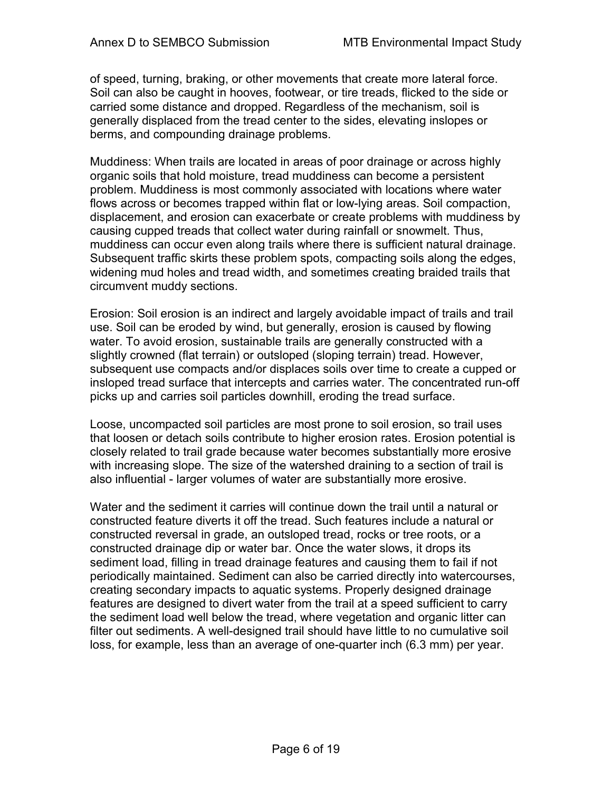of speed, turning, braking, or other movements that create more lateral force. Soil can also be caught in hooves, footwear, or tire treads, flicked to the side or carried some distance and dropped. Regardless of the mechanism, soil is generally displaced from the tread center to the sides, elevating inslopes or berms, and compounding drainage problems.

Muddiness: When trails are located in areas of poor drainage or across highly organic soils that hold moisture, tread muddiness can become a persistent problem. Muddiness is most commonly associated with locations where water flows across or becomes trapped within flat or low-lying areas. Soil compaction, displacement, and erosion can exacerbate or create problems with muddiness by causing cupped treads that collect water during rainfall or snowmelt. Thus, muddiness can occur even along trails where there is sufficient natural drainage. Subsequent traffic skirts these problem spots, compacting soils along the edges, widening mud holes and tread width, and sometimes creating braided trails that circumvent muddy sections.

Erosion: Soil erosion is an indirect and largely avoidable impact of trails and trail use. Soil can be eroded by wind, but generally, erosion is caused by flowing water. To avoid erosion, sustainable trails are generally constructed with a slightly crowned (flat terrain) or outsloped (sloping terrain) tread. However, subsequent use compacts and/or displaces soils over time to create a cupped or insloped tread surface that intercepts and carries water. The concentrated run-off picks up and carries soil particles downhill, eroding the tread surface.

Loose, uncompacted soil particles are most prone to soil erosion, so trail uses that loosen or detach soils contribute to higher erosion rates. Erosion potential is closely related to trail grade because water becomes substantially more erosive with increasing slope. The size of the watershed draining to a section of trail is also influential - larger volumes of water are substantially more erosive.

Water and the sediment it carries will continue down the trail until a natural or constructed feature diverts it off the tread. Such features include a natural or constructed reversal in grade, an outsloped tread, rocks or tree roots, or a constructed drainage dip or water bar. Once the water slows, it drops its sediment load, filling in tread drainage features and causing them to fail if not periodically maintained. Sediment can also be carried directly into watercourses, creating secondary impacts to aquatic systems. Properly designed drainage features are designed to divert water from the trail at a speed sufficient to carry the sediment load well below the tread, where vegetation and organic litter can filter out sediments. A well-designed trail should have little to no cumulative soil loss, for example, less than an average of one-quarter inch (6.3 mm) per year.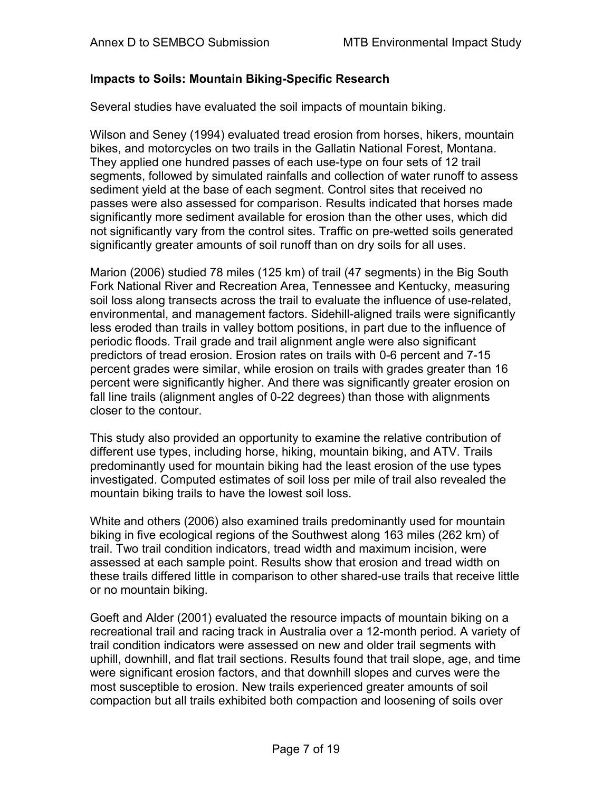## **Impacts to Soils: Mountain Biking-Specific Research**

Several studies have evaluated the soil impacts of mountain biking.

Wilson and Seney (1994) evaluated tread erosion from horses, hikers, mountain bikes, and motorcycles on two trails in the Gallatin National Forest, Montana. They applied one hundred passes of each use-type on four sets of 12 trail segments, followed by simulated rainfalls and collection of water runoff to assess sediment yield at the base of each segment. Control sites that received no passes were also assessed for comparison. Results indicated that horses made significantly more sediment available for erosion than the other uses, which did not significantly vary from the control sites. Traffic on pre-wetted soils generated significantly greater amounts of soil runoff than on dry soils for all uses.

Marion (2006) studied 78 miles (125 km) of trail (47 segments) in the Big South Fork National River and Recreation Area, Tennessee and Kentucky, measuring soil loss along transects across the trail to evaluate the influence of use-related, environmental, and management factors. Sidehill-aligned trails were significantly less eroded than trails in valley bottom positions, in part due to the influence of periodic floods. Trail grade and trail alignment angle were also significant predictors of tread erosion. Erosion rates on trails with 0-6 percent and 7-15 percent grades were similar, while erosion on trails with grades greater than 16 percent were significantly higher. And there was significantly greater erosion on fall line trails (alignment angles of 0-22 degrees) than those with alignments closer to the contour.

This study also provided an opportunity to examine the relative contribution of different use types, including horse, hiking, mountain biking, and ATV. Trails predominantly used for mountain biking had the least erosion of the use types investigated. Computed estimates of soil loss per mile of trail also revealed the mountain biking trails to have the lowest soil loss.

White and others (2006) also examined trails predominantly used for mountain biking in five ecological regions of the Southwest along 163 miles (262 km) of trail. Two trail condition indicators, tread width and maximum incision, were assessed at each sample point. Results show that erosion and tread width on these trails differed little in comparison to other shared-use trails that receive little or no mountain biking.

Goeft and Alder (2001) evaluated the resource impacts of mountain biking on a recreational trail and racing track in Australia over a 12-month period. A variety of trail condition indicators were assessed on new and older trail segments with uphill, downhill, and flat trail sections. Results found that trail slope, age, and time were significant erosion factors, and that downhill slopes and curves were the most susceptible to erosion. New trails experienced greater amounts of soil compaction but all trails exhibited both compaction and loosening of soils over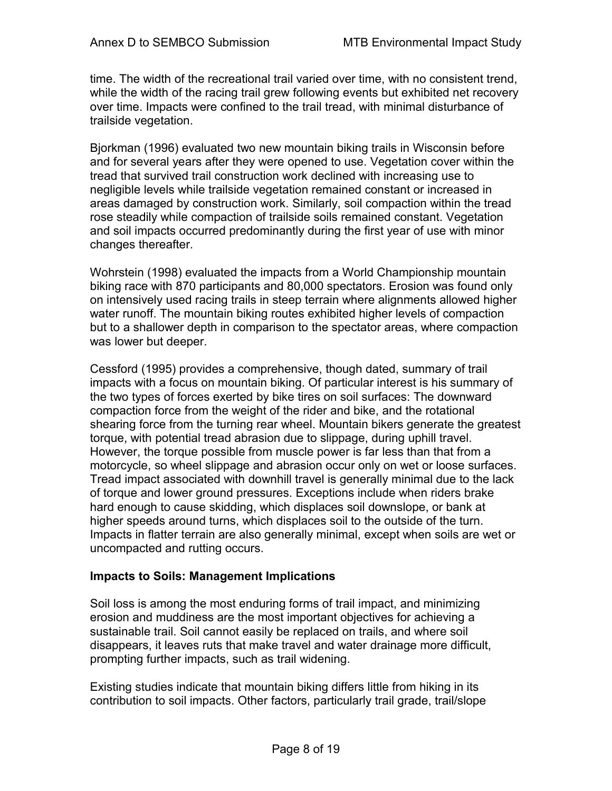time. The width of the recreational trail varied over time, with no consistent trend, while the width of the racing trail grew following events but exhibited net recovery over time. Impacts were confined to the trail tread, with minimal disturbance of trailside vegetation.

Bjorkman (1996) evaluated two new mountain biking trails in Wisconsin before and for several years after they were opened to use. Vegetation cover within the tread that survived trail construction work declined with increasing use to negligible levels while trailside vegetation remained constant or increased in areas damaged by construction work. Similarly, soil compaction within the tread rose steadily while compaction of trailside soils remained constant. Vegetation and soil impacts occurred predominantly during the first year of use with minor changes thereafter.

Wohrstein (1998) evaluated the impacts from a World Championship mountain biking race with 870 participants and 80,000 spectators. Erosion was found only on intensively used racing trails in steep terrain where alignments allowed higher water runoff. The mountain biking routes exhibited higher levels of compaction but to a shallower depth in comparison to the spectator areas, where compaction was lower but deeper.

Cessford (1995) provides a comprehensive, though dated, summary of trail impacts with a focus on mountain biking. Of particular interest is his summary of the two types of forces exerted by bike tires on soil surfaces: The downward compaction force from the weight of the rider and bike, and the rotational shearing force from the turning rear wheel. Mountain bikers generate the greatest torque, with potential tread abrasion due to slippage, during uphill travel. However, the torque possible from muscle power is far less than that from a motorcycle, so wheel slippage and abrasion occur only on wet or loose surfaces. Tread impact associated with downhill travel is generally minimal due to the lack of torque and lower ground pressures. Exceptions include when riders brake hard enough to cause skidding, which displaces soil downslope, or bank at higher speeds around turns, which displaces soil to the outside of the turn. Impacts in flatter terrain are also generally minimal, except when soils are wet or uncompacted and rutting occurs.

## **Impacts to Soils: Management Implications**

Soil loss is among the most enduring forms of trail impact, and minimizing erosion and muddiness are the most important objectives for achieving a sustainable trail. Soil cannot easily be replaced on trails, and where soil disappears, it leaves ruts that make travel and water drainage more difficult, prompting further impacts, such as trail widening.

Existing studies indicate that mountain biking differs little from hiking in its contribution to soil impacts. Other factors, particularly trail grade, trail/slope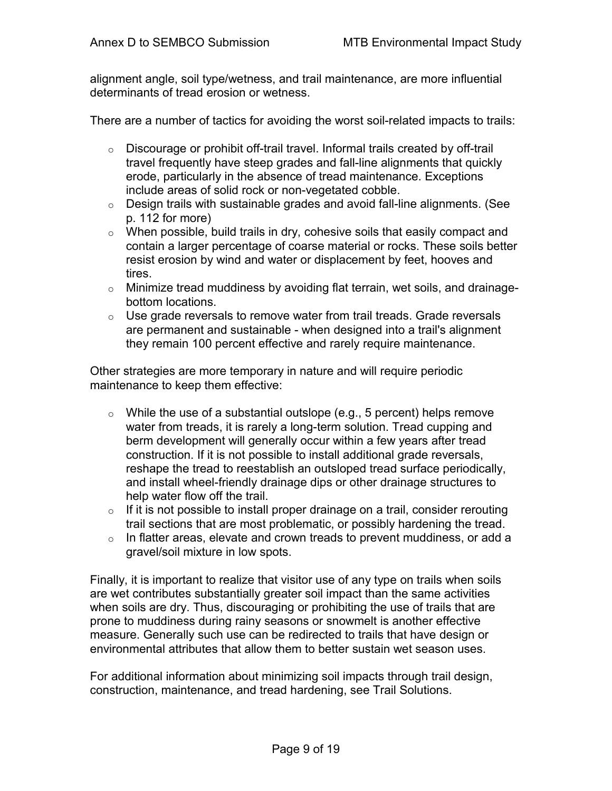alignment angle, soil type/wetness, and trail maintenance, are more influential determinants of tread erosion or wetness.

There are a number of tactics for avoiding the worst soil-related impacts to trails:

- o Discourage or prohibit off-trail travel. Informal trails created by off-trail travel frequently have steep grades and fall-line alignments that quickly erode, particularly in the absence of tread maintenance. Exceptions include areas of solid rock or non-vegetated cobble.
- o Design trails with sustainable grades and avoid fall-line alignments. (See p. 112 for more)
- $\circ$  When possible, build trails in dry, cohesive soils that easily compact and contain a larger percentage of coarse material or rocks. These soils better resist erosion by wind and water or displacement by feet, hooves and tires.
- o Minimize tread muddiness by avoiding flat terrain, wet soils, and drainagebottom locations.
- $\circ$  Use grade reversals to remove water from trail treads. Grade reversals are permanent and sustainable - when designed into a trail's alignment they remain 100 percent effective and rarely require maintenance.

Other strategies are more temporary in nature and will require periodic maintenance to keep them effective:

- $\circ$  While the use of a substantial outslope (e.g., 5 percent) helps remove water from treads, it is rarely a long-term solution. Tread cupping and berm development will generally occur within a few years after tread construction. If it is not possible to install additional grade reversals, reshape the tread to reestablish an outsloped tread surface periodically, and install wheel-friendly drainage dips or other drainage structures to help water flow off the trail.
- $\circ$  If it is not possible to install proper drainage on a trail, consider rerouting trail sections that are most problematic, or possibly hardening the tread.
- $\circ$  In flatter areas, elevate and crown treads to prevent muddiness, or add a gravel/soil mixture in low spots.

Finally, it is important to realize that visitor use of any type on trails when soils are wet contributes substantially greater soil impact than the same activities when soils are dry. Thus, discouraging or prohibiting the use of trails that are prone to muddiness during rainy seasons or snowmelt is another effective measure. Generally such use can be redirected to trails that have design or environmental attributes that allow them to better sustain wet season uses.

For additional information about minimizing soil impacts through trail design, construction, maintenance, and tread hardening, see Trail Solutions.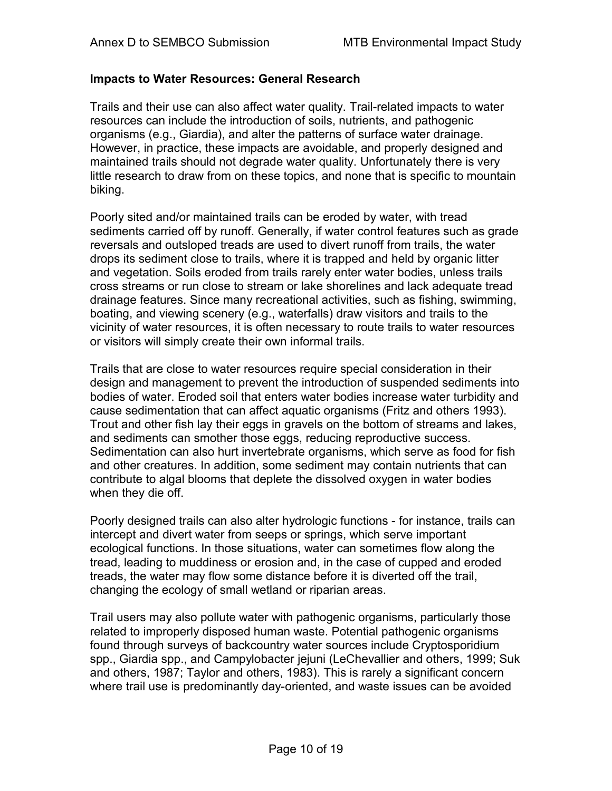#### **Impacts to Water Resources: General Research**

Trails and their use can also affect water quality. Trail-related impacts to water resources can include the introduction of soils, nutrients, and pathogenic organisms (e.g., Giardia), and alter the patterns of surface water drainage. However, in practice, these impacts are avoidable, and properly designed and maintained trails should not degrade water quality. Unfortunately there is very little research to draw from on these topics, and none that is specific to mountain biking.

Poorly sited and/or maintained trails can be eroded by water, with tread sediments carried off by runoff. Generally, if water control features such as grade reversals and outsloped treads are used to divert runoff from trails, the water drops its sediment close to trails, where it is trapped and held by organic litter and vegetation. Soils eroded from trails rarely enter water bodies, unless trails cross streams or run close to stream or lake shorelines and lack adequate tread drainage features. Since many recreational activities, such as fishing, swimming, boating, and viewing scenery (e.g., waterfalls) draw visitors and trails to the vicinity of water resources, it is often necessary to route trails to water resources or visitors will simply create their own informal trails.

Trails that are close to water resources require special consideration in their design and management to prevent the introduction of suspended sediments into bodies of water. Eroded soil that enters water bodies increase water turbidity and cause sedimentation that can affect aquatic organisms (Fritz and others 1993). Trout and other fish lay their eggs in gravels on the bottom of streams and lakes, and sediments can smother those eggs, reducing reproductive success. Sedimentation can also hurt invertebrate organisms, which serve as food for fish and other creatures. In addition, some sediment may contain nutrients that can contribute to algal blooms that deplete the dissolved oxygen in water bodies when they die off.

Poorly designed trails can also alter hydrologic functions - for instance, trails can intercept and divert water from seeps or springs, which serve important ecological functions. In those situations, water can sometimes flow along the tread, leading to muddiness or erosion and, in the case of cupped and eroded treads, the water may flow some distance before it is diverted off the trail, changing the ecology of small wetland or riparian areas.

Trail users may also pollute water with pathogenic organisms, particularly those related to improperly disposed human waste. Potential pathogenic organisms found through surveys of backcountry water sources include Cryptosporidium spp., Giardia spp., and Campylobacter jejuni (LeChevallier and others, 1999; Suk and others, 1987; Taylor and others, 1983). This is rarely a significant concern where trail use is predominantly day-oriented, and waste issues can be avoided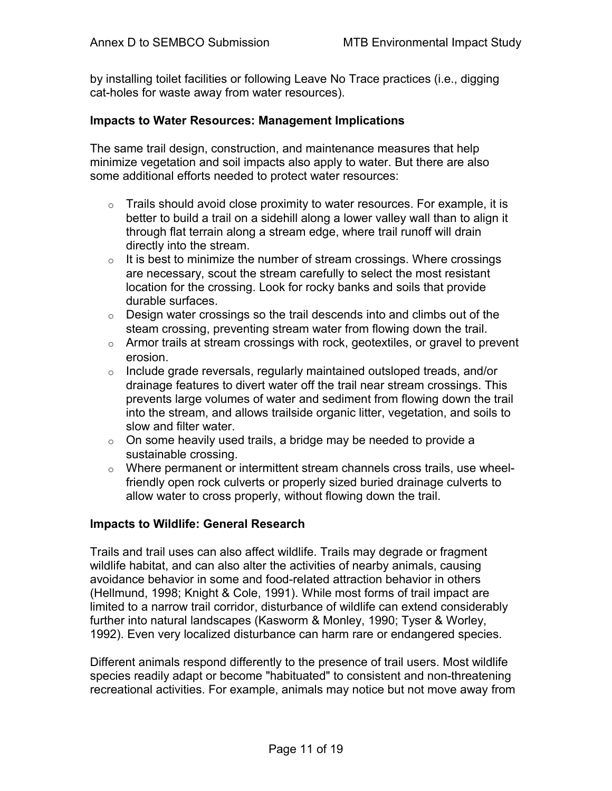by installing toilet facilities or following Leave No Trace practices (i.e., digging cat-holes for waste away from water resources).

#### **Impacts to Water Resources: Management Implications**

The same trail design, construction, and maintenance measures that help minimize vegetation and soil impacts also apply to water. But there are also some additional efforts needed to protect water resources:

- $\circ$  Trails should avoid close proximity to water resources. For example, it is better to build a trail on a sidehill along a lower valley wall than to align it through flat terrain along a stream edge, where trail runoff will drain directly into the stream.
- $\circ$  It is best to minimize the number of stream crossings. Where crossings are necessary, scout the stream carefully to select the most resistant location for the crossing. Look for rocky banks and soils that provide durable surfaces.
- $\circ$  Design water crossings so the trail descends into and climbs out of the steam crossing, preventing stream water from flowing down the trail.
- $\circ$  Armor trails at stream crossings with rock, geotextiles, or gravel to prevent erosion.
- $\circ$  Include grade reversals, regularly maintained outsloped treads, and/or drainage features to divert water off the trail near stream crossings. This prevents large volumes of water and sediment from flowing down the trail into the stream, and allows trailside organic litter, vegetation, and soils to slow and filter water.
- $\circ$  On some heavily used trails, a bridge may be needed to provide a sustainable crossing.
- o Where permanent or intermittent stream channels cross trails, use wheelfriendly open rock culverts or properly sized buried drainage culverts to allow water to cross properly, without flowing down the trail.

#### **Impacts to Wildlife: General Research**

Trails and trail uses can also affect wildlife. Trails may degrade or fragment wildlife habitat, and can also alter the activities of nearby animals, causing avoidance behavior in some and food-related attraction behavior in others (Hellmund, 1998; Knight & Cole, 1991). While most forms of trail impact are limited to a narrow trail corridor, disturbance of wildlife can extend considerably further into natural landscapes (Kasworm & Monley, 1990; Tyser & Worley, 1992). Even very localized disturbance can harm rare or endangered species.

Different animals respond differently to the presence of trail users. Most wildlife species readily adapt or become "habituated" to consistent and non-threatening recreational activities. For example, animals may notice but not move away from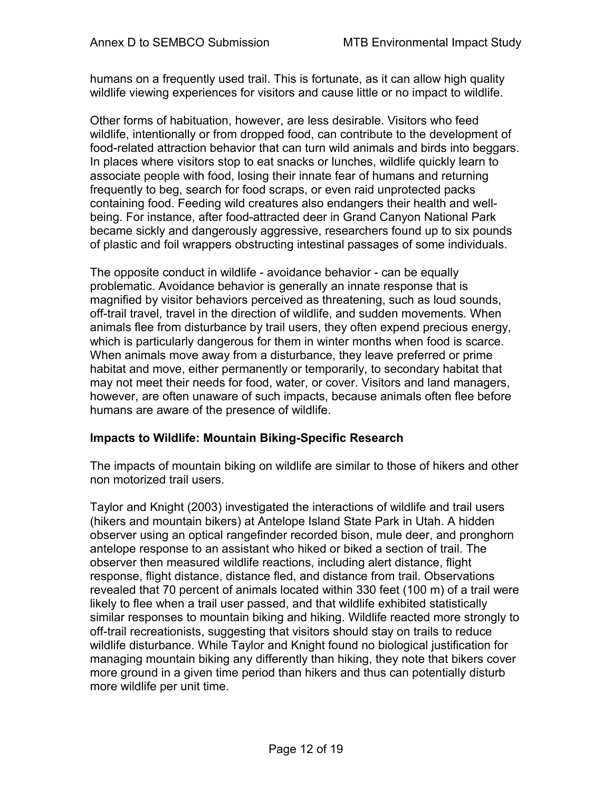humans on a frequently used trail. This is fortunate, as it can allow high quality wildlife viewing experiences for visitors and cause little or no impact to wildlife.

Other forms of habituation, however, are less desirable. Visitors who feed wildlife, intentionally or from dropped food, can contribute to the development of food-related attraction behavior that can turn wild animals and birds into beggars. In places where visitors stop to eat snacks or lunches, wildlife quickly learn to associate people with food, losing their innate fear of humans and returning frequently to beg, search for food scraps, or even raid unprotected packs containing food. Feeding wild creatures also endangers their health and wellbeing. For instance, after food-attracted deer in Grand Canyon National Park became sickly and dangerously aggressive, researchers found up to six pounds of plastic and foil wrappers obstructing intestinal passages of some individuals.

The opposite conduct in wildlife - avoidance behavior - can be equally problematic. Avoidance behavior is generally an innate response that is magnified by visitor behaviors perceived as threatening, such as loud sounds, off-trail travel, travel in the direction of wildlife, and sudden movements. When animals flee from disturbance by trail users, they often expend precious energy, which is particularly dangerous for them in winter months when food is scarce. When animals move away from a disturbance, they leave preferred or prime habitat and move, either permanently or temporarily, to secondary habitat that may not meet their needs for food, water, or cover. Visitors and land managers, however, are often unaware of such impacts, because animals often flee before humans are aware of the presence of wildlife.

## **Impacts to Wildlife: Mountain Biking-Specific Research**

The impacts of mountain biking on wildlife are similar to those of hikers and other non motorized trail users.

Taylor and Knight (2003) investigated the interactions of wildlife and trail users (hikers and mountain bikers) at Antelope Island State Park in Utah. A hidden observer using an optical rangefinder recorded bison, mule deer, and pronghorn antelope response to an assistant who hiked or biked a section of trail. The observer then measured wildlife reactions, including alert distance, flight response, flight distance, distance fled, and distance from trail. Observations revealed that 70 percent of animals located within 330 feet (100 m) of a trail were likely to flee when a trail user passed, and that wildlife exhibited statistically similar responses to mountain biking and hiking. Wildlife reacted more strongly to off-trail recreationists, suggesting that visitors should stay on trails to reduce wildlife disturbance. While Taylor and Knight found no biological justification for managing mountain biking any differently than hiking, they note that bikers cover more ground in a given time period than hikers and thus can potentially disturb more wildlife per unit time.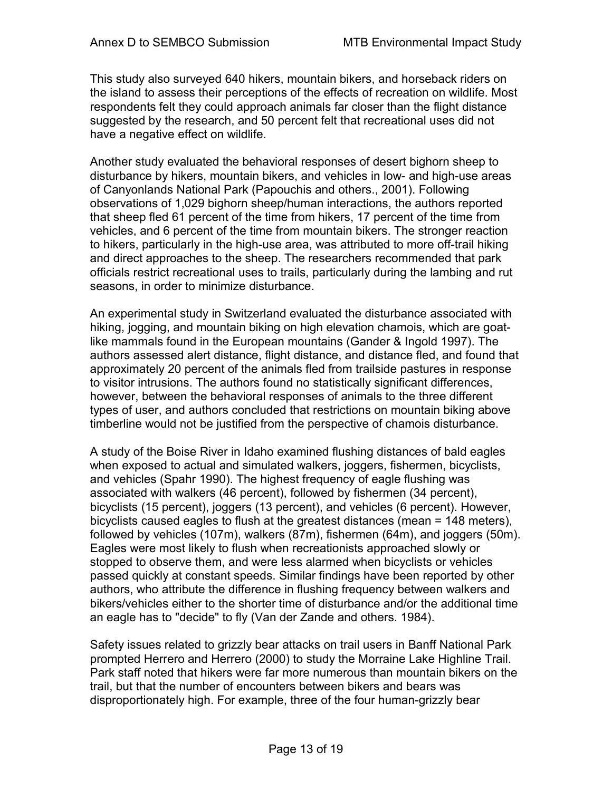This study also surveyed 640 hikers, mountain bikers, and horseback riders on the island to assess their perceptions of the effects of recreation on wildlife. Most respondents felt they could approach animals far closer than the flight distance suggested by the research, and 50 percent felt that recreational uses did not have a negative effect on wildlife.

Another study evaluated the behavioral responses of desert bighorn sheep to disturbance by hikers, mountain bikers, and vehicles in low- and high-use areas of Canyonlands National Park (Papouchis and others., 2001). Following observations of 1,029 bighorn sheep/human interactions, the authors reported that sheep fled 61 percent of the time from hikers, 17 percent of the time from vehicles, and 6 percent of the time from mountain bikers. The stronger reaction to hikers, particularly in the high-use area, was attributed to more off-trail hiking and direct approaches to the sheep. The researchers recommended that park officials restrict recreational uses to trails, particularly during the lambing and rut seasons, in order to minimize disturbance.

An experimental study in Switzerland evaluated the disturbance associated with hiking, jogging, and mountain biking on high elevation chamois, which are goatlike mammals found in the European mountains (Gander & Ingold 1997). The authors assessed alert distance, flight distance, and distance fled, and found that approximately 20 percent of the animals fled from trailside pastures in response to visitor intrusions. The authors found no statistically significant differences, however, between the behavioral responses of animals to the three different types of user, and authors concluded that restrictions on mountain biking above timberline would not be justified from the perspective of chamois disturbance.

A study of the Boise River in Idaho examined flushing distances of bald eagles when exposed to actual and simulated walkers, joggers, fishermen, bicyclists, and vehicles (Spahr 1990). The highest frequency of eagle flushing was associated with walkers (46 percent), followed by fishermen (34 percent), bicyclists (15 percent), joggers (13 percent), and vehicles (6 percent). However, bicyclists caused eagles to flush at the greatest distances (mean = 148 meters), followed by vehicles (107m), walkers (87m), fishermen (64m), and joggers (50m). Eagles were most likely to flush when recreationists approached slowly or stopped to observe them, and were less alarmed when bicyclists or vehicles passed quickly at constant speeds. Similar findings have been reported by other authors, who attribute the difference in flushing frequency between walkers and bikers/vehicles either to the shorter time of disturbance and/or the additional time an eagle has to "decide" to fly (Van der Zande and others. 1984).

Safety issues related to grizzly bear attacks on trail users in Banff National Park prompted Herrero and Herrero (2000) to study the Morraine Lake Highline Trail. Park staff noted that hikers were far more numerous than mountain bikers on the trail, but that the number of encounters between bikers and bears was disproportionately high. For example, three of the four human-grizzly bear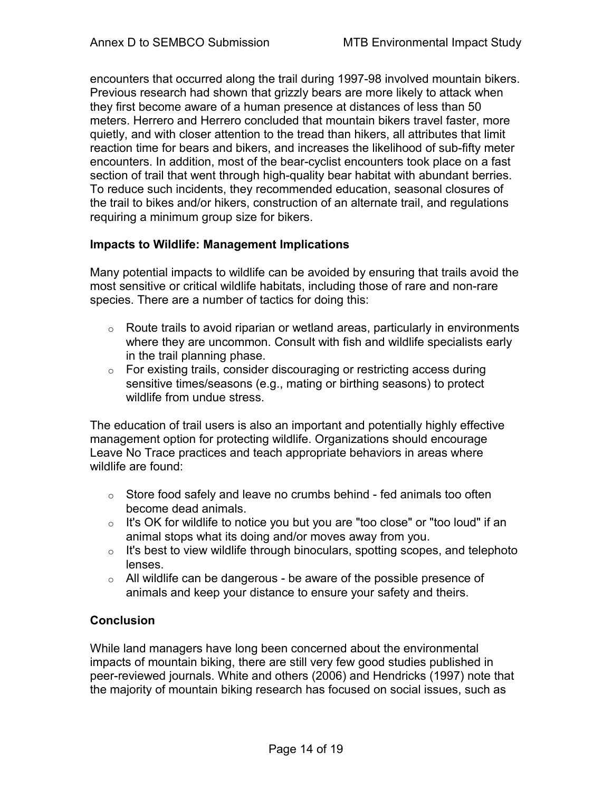encounters that occurred along the trail during 1997-98 involved mountain bikers. Previous research had shown that grizzly bears are more likely to attack when they first become aware of a human presence at distances of less than 50 meters. Herrero and Herrero concluded that mountain bikers travel faster, more quietly, and with closer attention to the tread than hikers, all attributes that limit reaction time for bears and bikers, and increases the likelihood of sub-fifty meter encounters. In addition, most of the bear-cyclist encounters took place on a fast section of trail that went through high-quality bear habitat with abundant berries. To reduce such incidents, they recommended education, seasonal closures of the trail to bikes and/or hikers, construction of an alternate trail, and regulations requiring a minimum group size for bikers.

# **Impacts to Wildlife: Management Implications**

Many potential impacts to wildlife can be avoided by ensuring that trails avoid the most sensitive or critical wildlife habitats, including those of rare and non-rare species. There are a number of tactics for doing this:

- $\circ$  Route trails to avoid riparian or wetland areas, particularly in environments where they are uncommon. Consult with fish and wildlife specialists early in the trail planning phase.
- o For existing trails, consider discouraging or restricting access during sensitive times/seasons (e.g., mating or birthing seasons) to protect wildlife from undue stress

The education of trail users is also an important and potentially highly effective management option for protecting wildlife. Organizations should encourage Leave No Trace practices and teach appropriate behaviors in areas where wildlife are found:

- $\circ$  Store food safely and leave no crumbs behind fed animals too often become dead animals.
- $\circ$  It's OK for wildlife to notice you but you are "too close" or "too loud" if an animal stops what its doing and/or moves away from you.
- $\circ$  It's best to view wildlife through binoculars, spotting scopes, and telephoto lenses.
- o All wildlife can be dangerous be aware of the possible presence of animals and keep your distance to ensure your safety and theirs.

# **Conclusion**

While land managers have long been concerned about the environmental impacts of mountain biking, there are still very few good studies published in peer-reviewed journals. White and others (2006) and Hendricks (1997) note that the majority of mountain biking research has focused on social issues, such as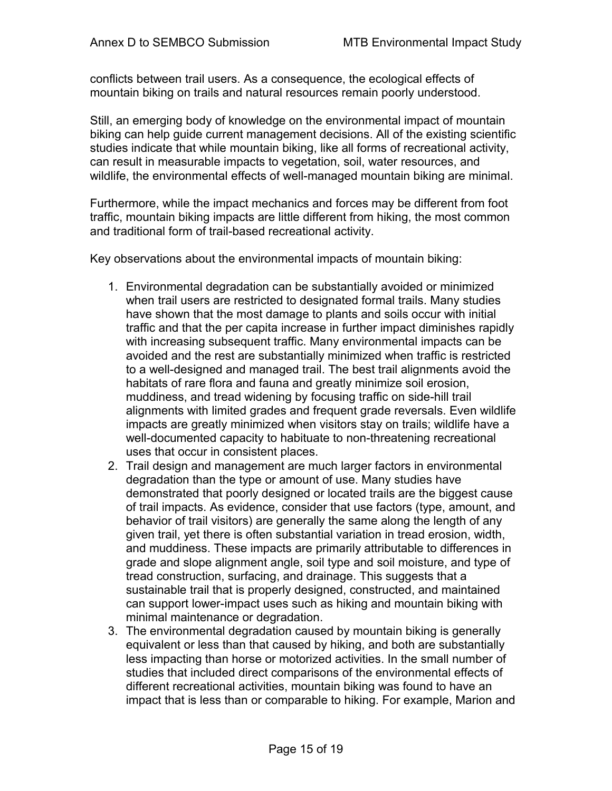conflicts between trail users. As a consequence, the ecological effects of mountain biking on trails and natural resources remain poorly understood.

Still, an emerging body of knowledge on the environmental impact of mountain biking can help guide current management decisions. All of the existing scientific studies indicate that while mountain biking, like all forms of recreational activity, can result in measurable impacts to vegetation, soil, water resources, and wildlife, the environmental effects of well-managed mountain biking are minimal.

Furthermore, while the impact mechanics and forces may be different from foot traffic, mountain biking impacts are little different from hiking, the most common and traditional form of trail-based recreational activity.

Key observations about the environmental impacts of mountain biking:

- 1. Environmental degradation can be substantially avoided or minimized when trail users are restricted to designated formal trails. Many studies have shown that the most damage to plants and soils occur with initial traffic and that the per capita increase in further impact diminishes rapidly with increasing subsequent traffic. Many environmental impacts can be avoided and the rest are substantially minimized when traffic is restricted to a well-designed and managed trail. The best trail alignments avoid the habitats of rare flora and fauna and greatly minimize soil erosion, muddiness, and tread widening by focusing traffic on side-hill trail alignments with limited grades and frequent grade reversals. Even wildlife impacts are greatly minimized when visitors stay on trails; wildlife have a well-documented capacity to habituate to non-threatening recreational uses that occur in consistent places.
- 2. Trail design and management are much larger factors in environmental degradation than the type or amount of use. Many studies have demonstrated that poorly designed or located trails are the biggest cause of trail impacts. As evidence, consider that use factors (type, amount, and behavior of trail visitors) are generally the same along the length of any given trail, yet there is often substantial variation in tread erosion, width, and muddiness. These impacts are primarily attributable to differences in grade and slope alignment angle, soil type and soil moisture, and type of tread construction, surfacing, and drainage. This suggests that a sustainable trail that is properly designed, constructed, and maintained can support lower-impact uses such as hiking and mountain biking with minimal maintenance or degradation.
- 3. The environmental degradation caused by mountain biking is generally equivalent or less than that caused by hiking, and both are substantially less impacting than horse or motorized activities. In the small number of studies that included direct comparisons of the environmental effects of different recreational activities, mountain biking was found to have an impact that is less than or comparable to hiking. For example, Marion and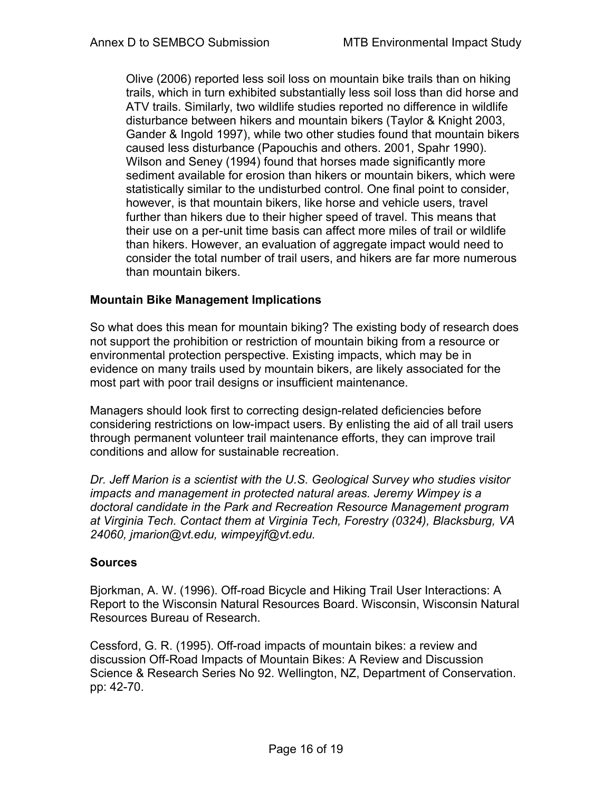Olive (2006) reported less soil loss on mountain bike trails than on hiking trails, which in turn exhibited substantially less soil loss than did horse and ATV trails. Similarly, two wildlife studies reported no difference in wildlife disturbance between hikers and mountain bikers (Taylor & Knight 2003, Gander & Ingold 1997), while two other studies found that mountain bikers caused less disturbance (Papouchis and others. 2001, Spahr 1990). Wilson and Seney (1994) found that horses made significantly more sediment available for erosion than hikers or mountain bikers, which were statistically similar to the undisturbed control. One final point to consider, however, is that mountain bikers, like horse and vehicle users, travel further than hikers due to their higher speed of travel. This means that their use on a per-unit time basis can affect more miles of trail or wildlife than hikers. However, an evaluation of aggregate impact would need to consider the total number of trail users, and hikers are far more numerous than mountain bikers.

# **Mountain Bike Management Implications**

So what does this mean for mountain biking? The existing body of research does not support the prohibition or restriction of mountain biking from a resource or environmental protection perspective. Existing impacts, which may be in evidence on many trails used by mountain bikers, are likely associated for the most part with poor trail designs or insufficient maintenance.

Managers should look first to correcting design-related deficiencies before considering restrictions on low-impact users. By enlisting the aid of all trail users through permanent volunteer trail maintenance efforts, they can improve trail conditions and allow for sustainable recreation.

*Dr. Jeff Marion is a scientist with the U.S. Geological Survey who studies visitor impacts and management in protected natural areas. Jeremy Wimpey is a doctoral candidate in the Park and Recreation Resource Management program at Virginia Tech. Contact them at Virginia Tech, Forestry (0324), Blacksburg, VA 24060, jmarion@vt.edu, wimpeyjf@vt.edu.* 

# **Sources**

Bjorkman, A. W. (1996). Off-road Bicycle and Hiking Trail User Interactions: A Report to the Wisconsin Natural Resources Board. Wisconsin, Wisconsin Natural Resources Bureau of Research.

Cessford, G. R. (1995). Off-road impacts of mountain bikes: a review and discussion Off-Road Impacts of Mountain Bikes: A Review and Discussion Science & Research Series No 92. Wellington, NZ, Department of Conservation. pp: 42-70.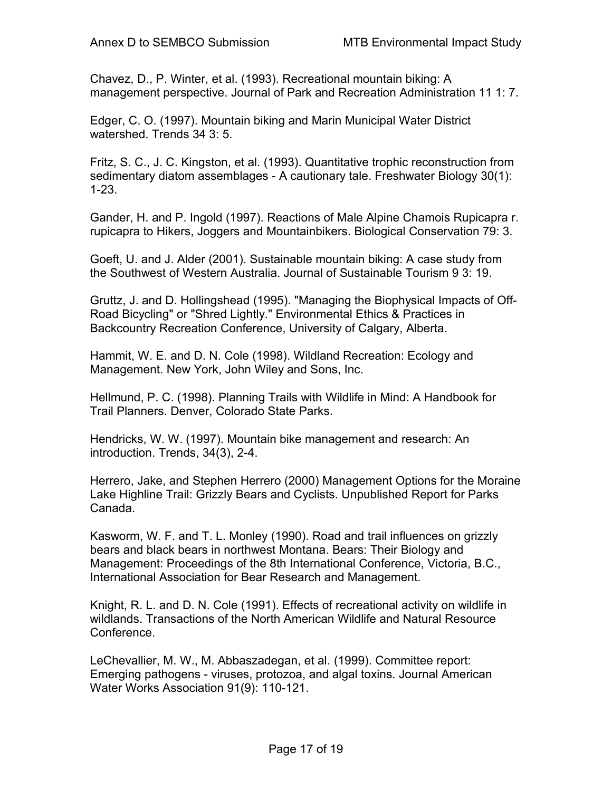Chavez, D., P. Winter, et al. (1993). Recreational mountain biking: A management perspective. Journal of Park and Recreation Administration 11 1: 7.

Edger, C. O. (1997). Mountain biking and Marin Municipal Water District watershed. Trends 34 3: 5.

Fritz, S. C., J. C. Kingston, et al. (1993). Quantitative trophic reconstruction from sedimentary diatom assemblages - A cautionary tale. Freshwater Biology 30(1): 1-23.

Gander, H. and P. Ingold (1997). Reactions of Male Alpine Chamois Rupicapra r. rupicapra to Hikers, Joggers and Mountainbikers. Biological Conservation 79: 3.

Goeft, U. and J. Alder (2001). Sustainable mountain biking: A case study from the Southwest of Western Australia. Journal of Sustainable Tourism 9 3: 19.

Gruttz, J. and D. Hollingshead (1995). "Managing the Biophysical Impacts of Off-Road Bicycling" or "Shred Lightly." Environmental Ethics & Practices in Backcountry Recreation Conference, University of Calgary, Alberta.

Hammit, W. E. and D. N. Cole (1998). Wildland Recreation: Ecology and Management. New York, John Wiley and Sons, Inc.

Hellmund, P. C. (1998). Planning Trails with Wildlife in Mind: A Handbook for Trail Planners. Denver, Colorado State Parks.

Hendricks, W. W. (1997). Mountain bike management and research: An introduction. Trends, 34(3), 2-4.

Herrero, Jake, and Stephen Herrero (2000) Management Options for the Moraine Lake Highline Trail: Grizzly Bears and Cyclists. Unpublished Report for Parks Canada.

Kasworm, W. F. and T. L. Monley (1990). Road and trail influences on grizzly bears and black bears in northwest Montana. Bears: Their Biology and Management: Proceedings of the 8th International Conference, Victoria, B.C., International Association for Bear Research and Management.

Knight, R. L. and D. N. Cole (1991). Effects of recreational activity on wildlife in wildlands. Transactions of the North American Wildlife and Natural Resource Conference.

LeChevallier, M. W., M. Abbaszadegan, et al. (1999). Committee report: Emerging pathogens - viruses, protozoa, and algal toxins. Journal American Water Works Association 91(9): 110-121.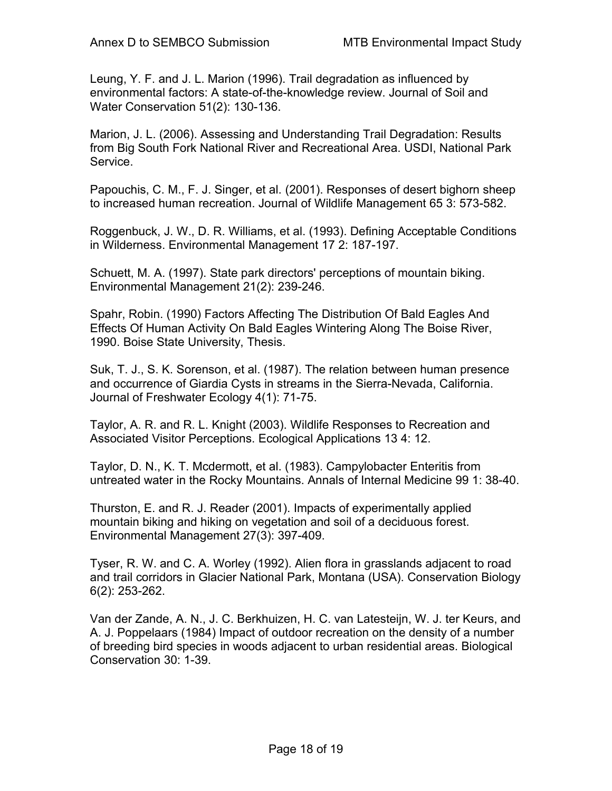Leung, Y. F. and J. L. Marion (1996). Trail degradation as influenced by environmental factors: A state-of-the-knowledge review. Journal of Soil and Water Conservation 51(2): 130-136.

Marion, J. L. (2006). Assessing and Understanding Trail Degradation: Results from Big South Fork National River and Recreational Area. USDI, National Park Service.

Papouchis, C. M., F. J. Singer, et al. (2001). Responses of desert bighorn sheep to increased human recreation. Journal of Wildlife Management 65 3: 573-582.

Roggenbuck, J. W., D. R. Williams, et al. (1993). Defining Acceptable Conditions in Wilderness. Environmental Management 17 2: 187-197.

Schuett, M. A. (1997). State park directors' perceptions of mountain biking. Environmental Management 21(2): 239-246.

Spahr, Robin. (1990) Factors Affecting The Distribution Of Bald Eagles And Effects Of Human Activity On Bald Eagles Wintering Along The Boise River, 1990. Boise State University, Thesis.

Suk, T. J., S. K. Sorenson, et al. (1987). The relation between human presence and occurrence of Giardia Cysts in streams in the Sierra-Nevada, California. Journal of Freshwater Ecology 4(1): 71-75.

Taylor, A. R. and R. L. Knight (2003). Wildlife Responses to Recreation and Associated Visitor Perceptions. Ecological Applications 13 4: 12.

Taylor, D. N., K. T. Mcdermott, et al. (1983). Campylobacter Enteritis from untreated water in the Rocky Mountains. Annals of Internal Medicine 99 1: 38-40.

Thurston, E. and R. J. Reader (2001). Impacts of experimentally applied mountain biking and hiking on vegetation and soil of a deciduous forest. Environmental Management 27(3): 397-409.

Tyser, R. W. and C. A. Worley (1992). Alien flora in grasslands adjacent to road and trail corridors in Glacier National Park, Montana (USA). Conservation Biology 6(2): 253-262.

Van der Zande, A. N., J. C. Berkhuizen, H. C. van Latesteijn, W. J. ter Keurs, and A. J. Poppelaars (1984) Impact of outdoor recreation on the density of a number of breeding bird species in woods adjacent to urban residential areas. Biological Conservation 30: 1-39.